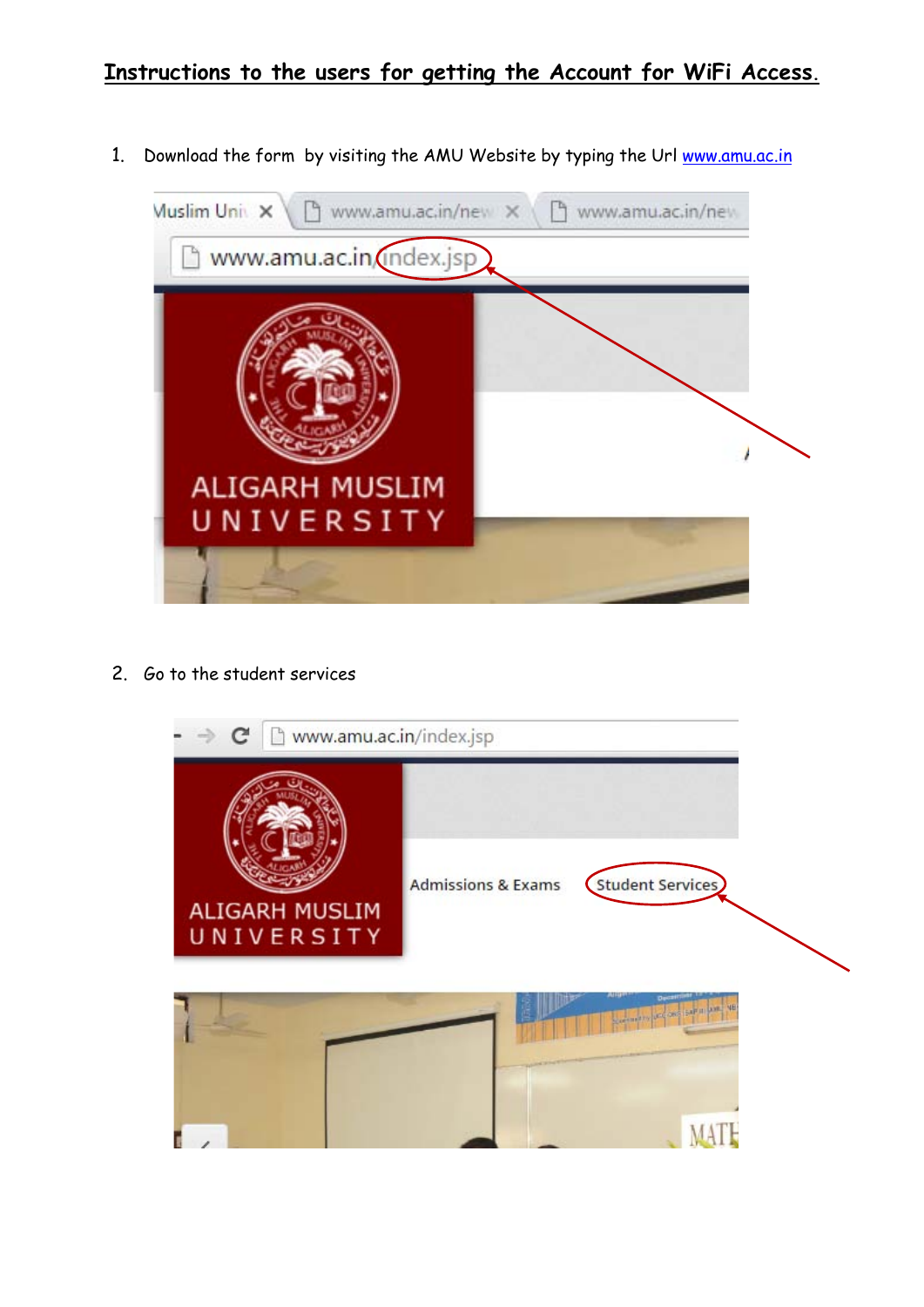## **Instructions to the users for getting the Account for WiFi Access.**

1. Download the form by visiting the AMU Website by typing the Url [www.amu.ac.in](http://www.amu.ac.in/)



2. Go to the student services

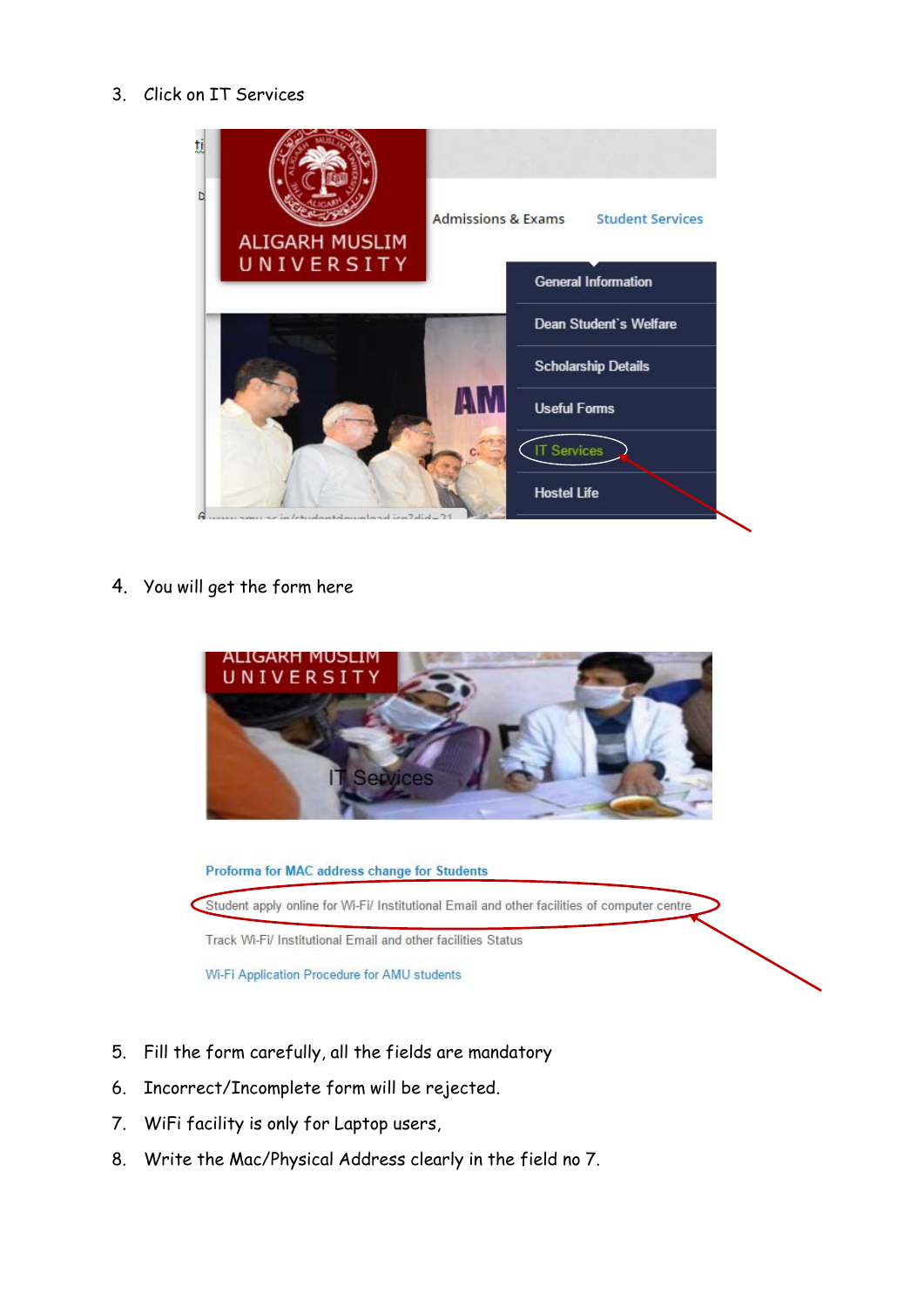## 3. Click on IT Services



4. You will get the form here



Proforma for MAC address change for Students Student apply online for Wi-Fi/ Institutional Email and other facilities of computer centre Track Wi-Fi/ Institutional Email and other facilities Status Wi-Fi Application Procedure for AMU students

- 5. Fill the form carefully, all the fields are mandatory
- 6. Incorrect/Incomplete form will be rejected.
- 7. WiFi facility is only for Laptop users,
- 8. Write the Mac/Physical Address clearly in the field no 7.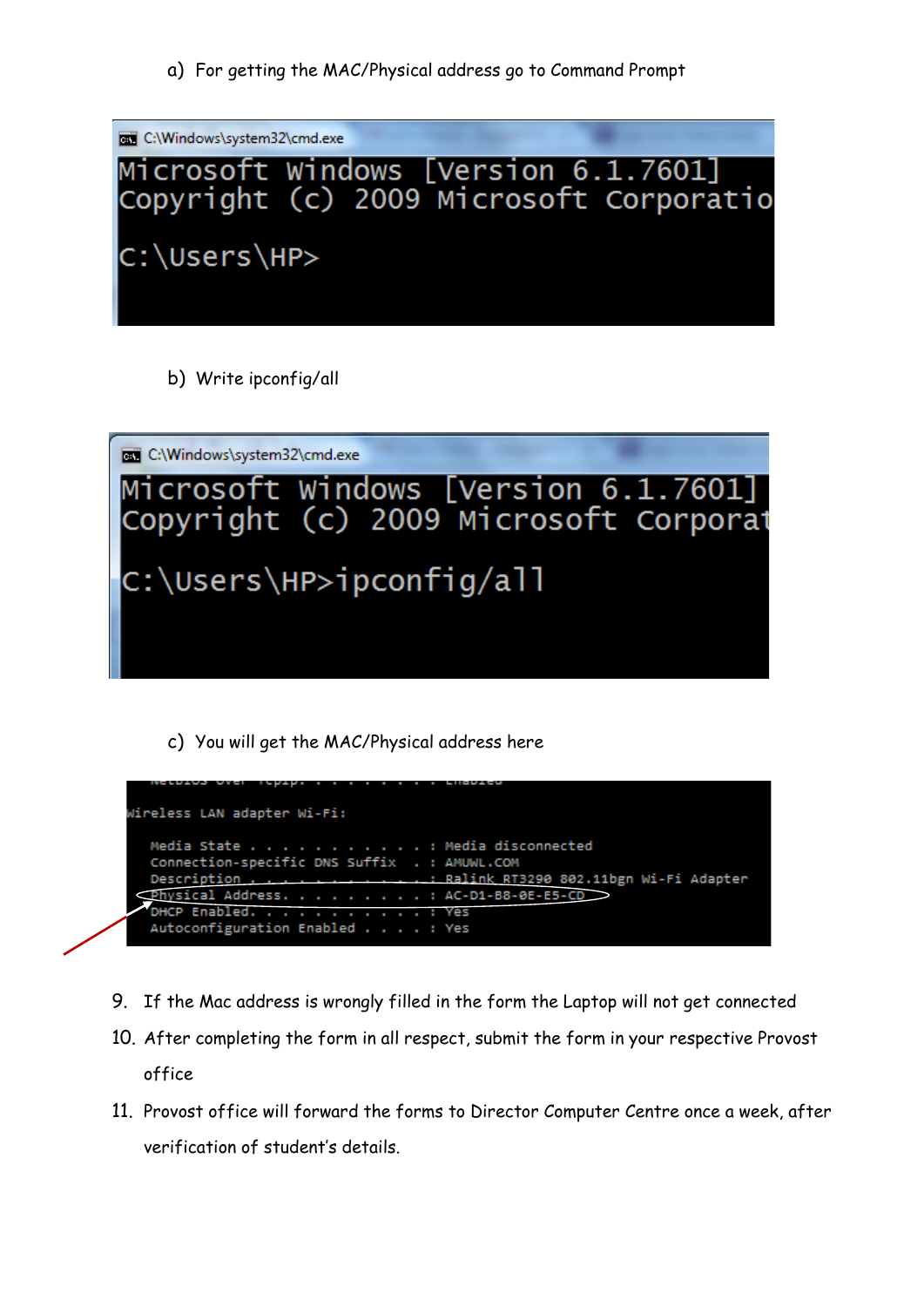

b) Write ipconfig/all



c) You will get the MAC/Physical address here

| Wireless LAN adapter Wi-Fi:                                                   |
|-------------------------------------------------------------------------------|
| Media State Media disconnected                                                |
| Connection-specific DNS Suffix . : AMUWL.COM                                  |
| Description Ralink RT3290 802.11bgn Wi-Fi Adapter                             |
| $\overline{\text{Physical}}$ Address. AC-D1-B8-0E-E5-CD $\overline{\text{O}}$ |
| DHCP Enabled. : Yes                                                           |
| Autoconfiguration Enabled : Yes                                               |

- 9. If the Mac address is wrongly filled in the form the Laptop will not get connected
- 10. After completing the form in all respect, submit the form in your respective Provost office
- 11. Provost office will forward the forms to Director Computer Centre once a week, after verification of student's details.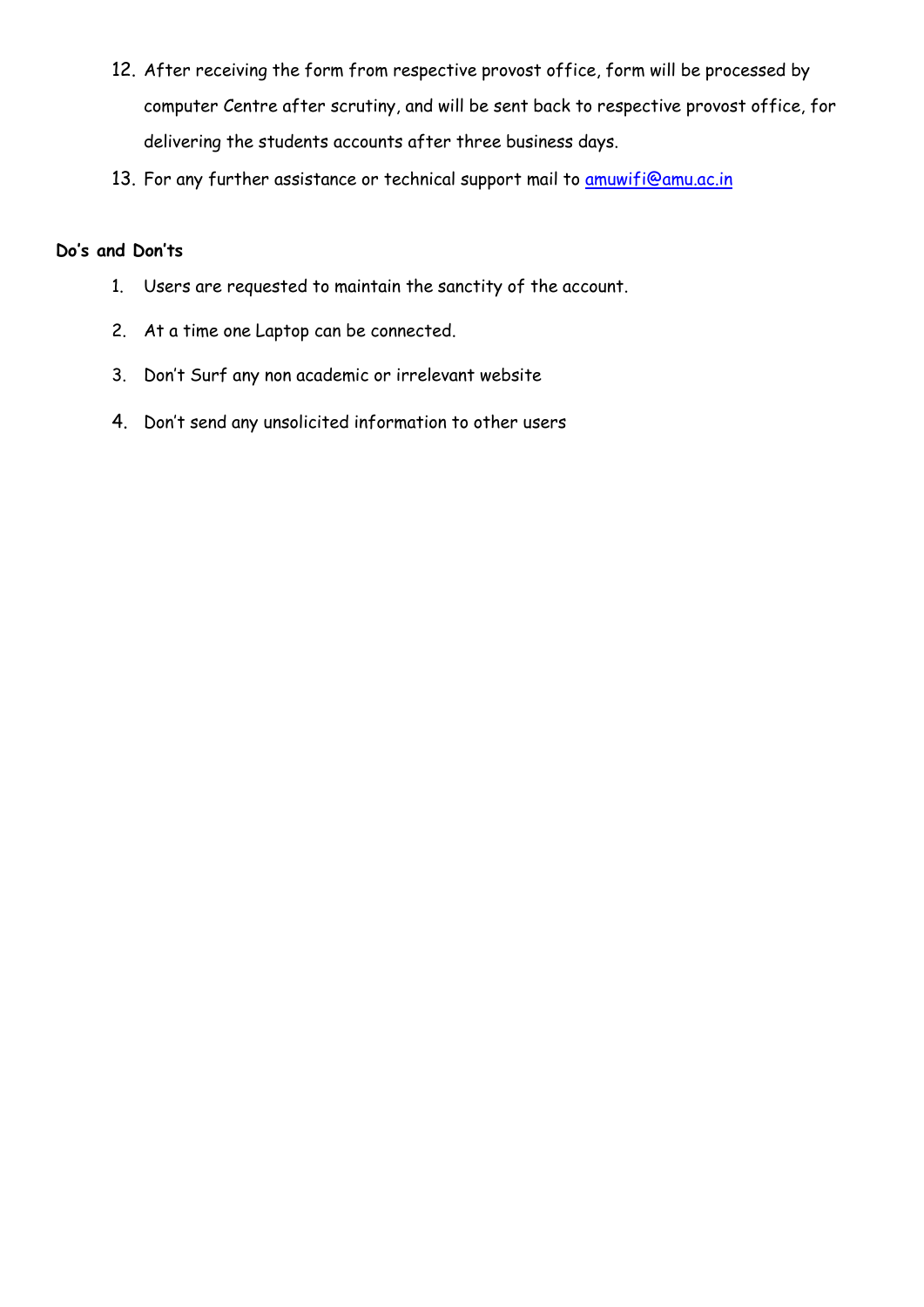- 12. After receiving the form from respective provost office, form will be processed by computer Centre after scrutiny, and will be sent back to respective provost office, for delivering the students accounts after three business days.
- 13. For any further assistance or technical support mail to [amuwifi@amu.ac.in](mailto:amuwifi@amu.ac.in)

## **Do's and Don'ts**

- 1. Users are requested to maintain the sanctity of the account.
- 2. At a time one Laptop can be connected.
- 3. Don't Surf any non academic or irrelevant website
- 4. Don't send any unsolicited information to other users